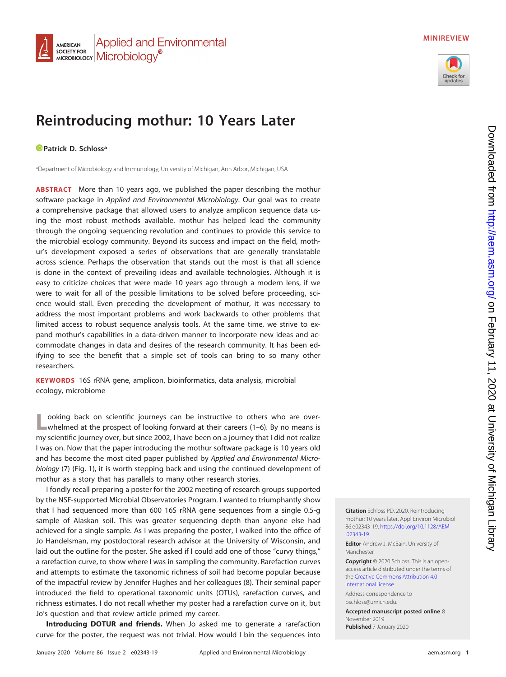

## **Reintroducing mothur: 10 Years Later**

**[Patrick D. Schlossa](https://orcid.org/0000-0002-6935-4275)**

aDepartment of Microbiology and Immunology, University of Michigan, Ann Arbor, Michigan, USA

**ABSTRACT** More than 10 years ago, we published the paper describing the mothur software package in Applied and Environmental Microbiology. Our goal was to create a comprehensive package that allowed users to analyze amplicon sequence data using the most robust methods available. mothur has helped lead the community through the ongoing sequencing revolution and continues to provide this service to the microbial ecology community. Beyond its success and impact on the field, mothur's development exposed a series of observations that are generally translatable across science. Perhaps the observation that stands out the most is that all science is done in the context of prevailing ideas and available technologies. Although it is easy to criticize choices that were made 10 years ago through a modern lens, if we were to wait for all of the possible limitations to be solved before proceeding, science would stall. Even preceding the development of mothur, it was necessary to address the most important problems and work backwards to other problems that limited access to robust sequence analysis tools. At the same time, we strive to expand mothur's capabilities in a data-driven manner to incorporate new ideas and accommodate changes in data and desires of the research community. It has been edifying to see the benefit that a simple set of tools can bring to so many other researchers.

**KEYWORDS** 16S rRNA gene, amplicon, bioinformatics, data analysis, microbial ecology, microbiome

**L**ooking back on scientific journeys can be instructive to others who are over-<br>whelmed at the prospect of looking forward at their careers [\(1](#page-10-0)[–](#page-10-1)[6\)](#page-10-2). By no means is my scientific journey over, but since 2002, I have been on a journey that I did not realize I was on. Now that the paper introducing the mothur software package is 10 years old and has become the most cited paper published by Applied and Environmental Micro-biology [\(7\)](#page-10-3) [\(Fig. 1\)](#page-1-0), it is worth stepping back and using the continued development of mothur as a story that has parallels to many other research stories.

I fondly recall preparing a poster for the 2002 meeting of research groups supported by the NSF-supported Microbial Observatories Program. I wanted to triumphantly show that I had sequenced more than 600 16S rRNA gene sequences from a single 0.5-g sample of Alaskan soil. This was greater sequencing depth than anyone else had achieved for a single sample. As I was preparing the poster, I walked into the office of Jo Handelsman, my postdoctoral research advisor at the University of Wisconsin, and laid out the outline for the poster. She asked if I could add one of those "curvy things," a rarefaction curve, to show where I was in sampling the community. Rarefaction curves and attempts to estimate the taxonomic richness of soil had become popular because of the impactful review by Jennifer Hughes and her colleagues [\(8\)](#page-10-4). Their seminal paper introduced the field to operational taxonomic units (OTUs), rarefaction curves, and richness estimates. I do not recall whether my poster had a rarefaction curve on it, but Jo's question and that review article primed my career.

**Introducing DOTUR and friends.** When Jo asked me to generate a rarefaction curve for the poster, the request was not trivial. How would I bin the sequences into



**Citation** Schloss PD. 2020. Reintroducing mothur: 10 years later. Appl Environ Microbiol 86:e02343-19. [https://doi.org/10.1128/AEM](https://doi.org/10.1128/AEM.02343-19) [.02343-19.](https://doi.org/10.1128/AEM.02343-19)

**Editor** Andrew J. McBain, University of Manchester

**Copyright** © 2020 Schloss. This is an openaccess article distributed under the terms of the [Creative Commons Attribution 4.0](https://creativecommons.org/licenses/by/4.0/) [International](https://creativecommons.org/licenses/by/4.0/) license.

Address correspondence to [pschloss@umich.edu.](mailto:pschloss@umich.edu)

**Accepted manuscript posted online** 8 November 2019 **Published** 7 January 2020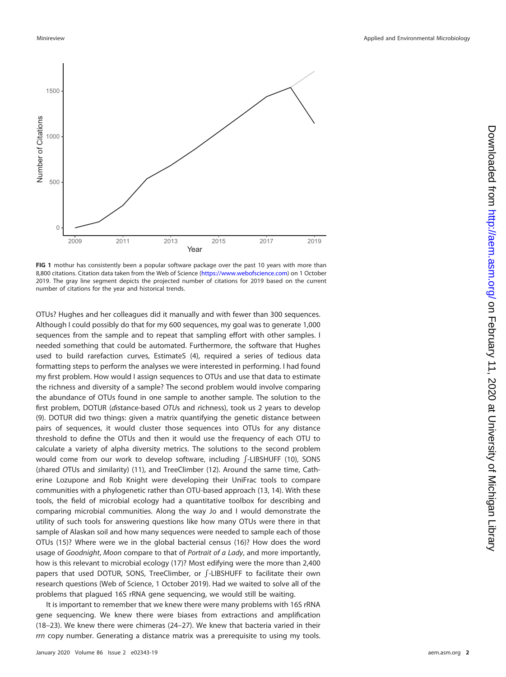

<span id="page-1-0"></span>**FIG 1** mothur has consistently been a popular software package over the past 10 years with more than 8,800 citations. Citation data taken from the Web of Science [\(https://www.webofscience.com\)](https://www.webofscience.com) on 1 October 2019. The gray line segment depicts the projected number of citations for 2019 based on the current number of citations for the year and historical trends.

OTUs? Hughes and her colleagues did it manually and with fewer than 300 sequences. Although I could possibly do that for my 600 sequences, my goal was to generate 1,000 sequences from the sample and to repeat that sampling effort with other samples. I needed something that could be automated. Furthermore, the software that Hughes used to build rarefaction curves, EstimateS [\(4\)](#page-10-5), required a series of tedious data formatting steps to perform the analyses we were interested in performing. I had found my first problem. How would I assign sequences to OTUs and use that data to estimate the richness and diversity of a sample? The second problem would involve comparing the abundance of OTUs found in one sample to another sample. The solution to the first problem, DOTUR (distance-based OTUs and richness), took us 2 years to develop [\(9\)](#page-10-6). DOTUR did two things: given a matrix quantifying the genetic distance between pairs of sequences, it would cluster those sequences into OTUs for any distance threshold to define the OTUs and then it would use the frequency of each OTU to calculate a variety of alpha diversity metrics. The solutions to the second problem would come from our work to develop software, including  $\int$ -LIBSHUFF [\(10\)](#page-10-7), SONS (shared OTUs and similarity) [\(11\)](#page-10-8), and TreeClimber [\(12\)](#page-10-9). Around the same time, Catherine Lozupone and Rob Knight were developing their UniFrac tools to compare communities with a phylogenetic rather than OTU-based approach [\(13,](#page-10-10) [14\)](#page-10-11). With these tools, the field of microbial ecology had a quantitative toolbox for describing and comparing microbial communities. Along the way Jo and I would demonstrate the utility of such tools for answering questions like how many OTUs were there in that sample of Alaskan soil and how many sequences were needed to sample each of those OTUs [\(15\)](#page-11-0)? Where were we in the global bacterial census [\(16\)](#page-11-1)? How does the word usage of Goodnight, Moon compare to that of Portrait of a Lady, and more importantly, how is this relevant to microbial ecology [\(17\)](#page-11-2)? Most edifying were the more than 2,400 papers that used DOTUR, SONS, TreeClimber, or  $\int$ -LIBSHUFF to facilitate their own research questions (Web of Science, 1 October 2019). Had we waited to solve all of the problems that plagued 16S rRNA gene sequencing, we would still be waiting.

It is important to remember that we knew there were many problems with 16S rRNA gene sequencing. We knew there were biases from extractions and amplification [\(18](#page-11-3)[–](#page-11-4)[23\)](#page-11-5). We knew there were chimeras [\(24](#page-11-6)[–](#page-11-7)[27\)](#page-11-8). We knew that bacteria varied in their rrn copy number. Generating a distance matrix was a prerequisite to using my tools.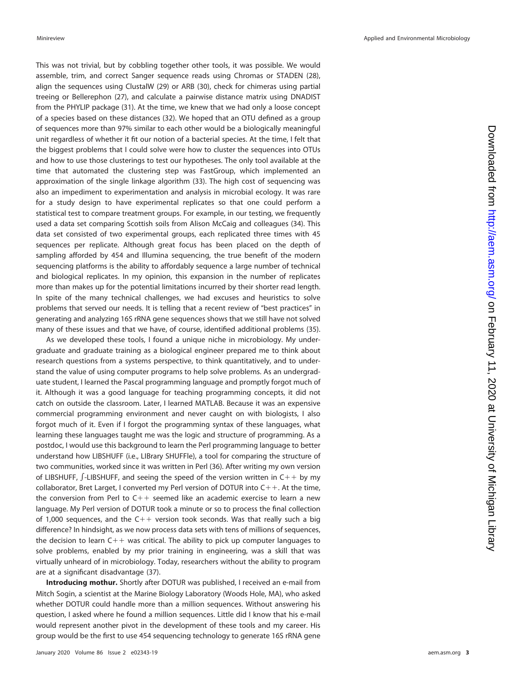This was not trivial, but by cobbling together other tools, it was possible. We would assemble, trim, and correct Sanger sequence reads using Chromas or STADEN [\(28\)](#page-11-9), align the sequences using ClustalW [\(29\)](#page-11-10) or ARB [\(30\)](#page-11-11), check for chimeras using partial treeing or Bellerephon [\(27\)](#page-11-8), and calculate a pairwise distance matrix using DNADIST from the PHYLIP package [\(31\)](#page-11-12). At the time, we knew that we had only a loose concept of a species based on these distances [\(32\)](#page-11-13). We hoped that an OTU defined as a group of sequences more than 97% similar to each other would be a biologically meaningful unit regardless of whether it fit our notion of a bacterial species. At the time, I felt that the biggest problems that I could solve were how to cluster the sequences into OTUs and how to use those clusterings to test our hypotheses. The only tool available at the time that automated the clustering step was FastGroup, which implemented an approximation of the single linkage algorithm [\(33\)](#page-11-14). The high cost of sequencing was also an impediment to experimentation and analysis in microbial ecology. It was rare for a study design to have experimental replicates so that one could perform a statistical test to compare treatment groups. For example, in our testing, we frequently used a data set comparing Scottish soils from Alison McCaig and colleagues [\(34\)](#page-11-15). This data set consisted of two experimental groups, each replicated three times with 45 sequences per replicate. Although great focus has been placed on the depth of sampling afforded by 454 and Illumina sequencing, the true benefit of the modern sequencing platforms is the ability to affordably sequence a large number of technical and biological replicates. In my opinion, this expansion in the number of replicates more than makes up for the potential limitations incurred by their shorter read length. In spite of the many technical challenges, we had excuses and heuristics to solve problems that served our needs. It is telling that a recent review of "best practices" in generating and analyzing 16S rRNA gene sequences shows that we still have not solved many of these issues and that we have, of course, identified additional problems [\(35\)](#page-11-16).

As we developed these tools, I found a unique niche in microbiology. My undergraduate and graduate training as a biological engineer prepared me to think about research questions from a systems perspective, to think quantitatively, and to understand the value of using computer programs to help solve problems. As an undergraduate student, I learned the Pascal programming language and promptly forgot much of it. Although it was a good language for teaching programming concepts, it did not catch on outside the classroom. Later, I learned MATLAB. Because it was an expensive commercial programming environment and never caught on with biologists, I also forgot much of it. Even if I forgot the programming syntax of these languages, what learning these languages taught me was the logic and structure of programming. As a postdoc, I would use this background to learn the Perl programming language to better understand how LIBSHUFF (i.e., LIBrary SHUFFle), a tool for comparing the structure of two communities, worked since it was written in Perl [\(36\)](#page-11-17). After writing my own version of LIBSHUFF,  $\int$ -LIBSHUFF, and seeing the speed of the version written in C++ by my collaborator, Bret Larget, I converted my Perl version of DOTUR into  $C_{++}$ . At the time, the conversion from Perl to  $C++$  seemed like an academic exercise to learn a new language. My Perl version of DOTUR took a minute or so to process the final collection of 1,000 sequences, and the  $C++$  version took seconds. Was that really such a big difference? In hindsight, as we now process data sets with tens of millions of sequences, the decision to learn  $C++$  was critical. The ability to pick up computer languages to solve problems, enabled by my prior training in engineering, was a skill that was virtually unheard of in microbiology. Today, researchers without the ability to program are at a significant disadvantage [\(37\)](#page-11-18).

**Introducing mothur.** Shortly after DOTUR was published, I received an e-mail from Mitch Sogin, a scientist at the Marine Biology Laboratory (Woods Hole, MA), who asked whether DOTUR could handle more than a million sequences. Without answering his question, I asked where he found a million sequences. Little did I know that his e-mail would represent another pivot in the development of these tools and my career. His group would be the first to use 454 sequencing technology to generate 16S rRNA gene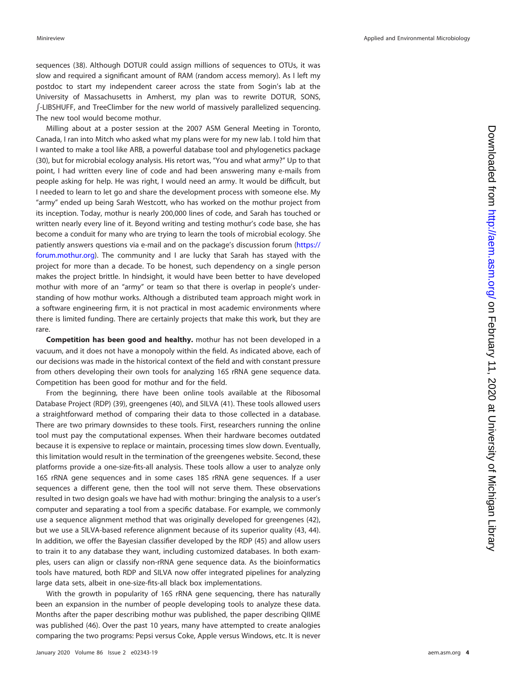sequences [\(38\)](#page-11-19). Although DOTUR could assign millions of sequences to OTUs, it was slow and required a significant amount of RAM (random access memory). As I left my postdoc to start my independent career across the state from Sogin's lab at the University of Massachusetts in Amherst, my plan was to rewrite DOTUR, SONS, --LIBSHUFF, and TreeClimber for the new world of massively parallelized sequencing. The new tool would become mothur.

Milling about at a poster session at the 2007 ASM General Meeting in Toronto, Canada, I ran into Mitch who asked what my plans were for my new lab. I told him that I wanted to make a tool like ARB, a powerful database tool and phylogenetics package [\(30\)](#page-11-11), but for microbial ecology analysis. His retort was, "You and what army?" Up to that point, I had written every line of code and had been answering many e-mails from people asking for help. He was right, I would need an army. It would be difficult, but I needed to learn to let go and share the development process with someone else. My "army" ended up being Sarah Westcott, who has worked on the mothur project from its inception. Today, mothur is nearly 200,000 lines of code, and Sarah has touched or written nearly every line of it. Beyond writing and testing mothur's code base, she has become a conduit for many who are trying to learn the tools of microbial ecology. She patiently answers questions via e-mail and on the package's discussion forum [\(https://](https://forum.mothur.org) [forum.mothur.org\)](https://forum.mothur.org). The community and I are lucky that Sarah has stayed with the project for more than a decade. To be honest, such dependency on a single person makes the project brittle. In hindsight, it would have been better to have developed mothur with more of an "army" or team so that there is overlap in people's understanding of how mothur works. Although a distributed team approach might work in a software engineering firm, it is not practical in most academic environments where there is limited funding. There are certainly projects that make this work, but they are rare.

**Competition has been good and healthy.** mothur has not been developed in a vacuum, and it does not have a monopoly within the field. As indicated above, each of our decisions was made in the historical context of the field and with constant pressure from others developing their own tools for analyzing 16S rRNA gene sequence data. Competition has been good for mothur and for the field.

From the beginning, there have been online tools available at the Ribosomal Database Project (RDP) [\(39\)](#page-11-20), greengenes [\(40\)](#page-11-21), and SILVA [\(41\)](#page-11-22). These tools allowed users a straightforward method of comparing their data to those collected in a database. There are two primary downsides to these tools. First, researchers running the online tool must pay the computational expenses. When their hardware becomes outdated because it is expensive to replace or maintain, processing times slow down. Eventually, this limitation would result in the termination of the greengenes website. Second, these platforms provide a one-size-fits-all analysis. These tools allow a user to analyze only 16S rRNA gene sequences and in some cases 18S rRNA gene sequences. If a user sequences a different gene, then the tool will not serve them. These observations resulted in two design goals we have had with mothur: bringing the analysis to a user's computer and separating a tool from a specific database. For example, we commonly use a sequence alignment method that was originally developed for greengenes [\(42\)](#page-11-23), but we use a SILVA-based reference alignment because of its superior quality [\(43,](#page-11-24) [44\)](#page-11-25). In addition, we offer the Bayesian classifier developed by the RDP [\(45\)](#page-11-26) and allow users to train it to any database they want, including customized databases. In both examples, users can align or classify non-rRNA gene sequence data. As the bioinformatics tools have matured, both RDP and SILVA now offer integrated pipelines for analyzing large data sets, albeit in one-size-fits-all black box implementations.

With the growth in popularity of 16S rRNA gene sequencing, there has naturally been an expansion in the number of people developing tools to analyze these data. Months after the paper describing mothur was published, the paper describing QIIME was published [\(46\)](#page-11-27). Over the past 10 years, many have attempted to create analogies comparing the two programs: Pepsi versus Coke, Apple versus Windows, etc. It is never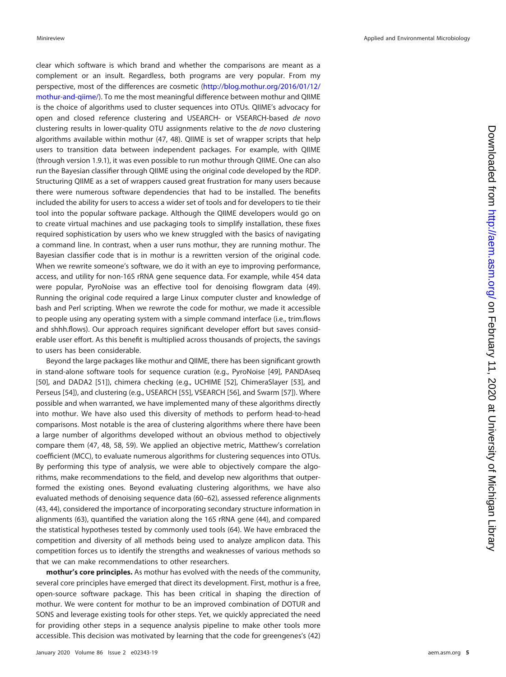clear which software is which brand and whether the comparisons are meant as a complement or an insult. Regardless, both programs are very popular. From my perspective, most of the differences are cosmetic [\(http://blog.mothur.org/2016/01/12/](http://blog.mothur.org/2016/01/12/mothur-and-qiime/) [mothur-and-qiime/\)](http://blog.mothur.org/2016/01/12/mothur-and-qiime/). To me the most meaningful difference between mothur and QIIME is the choice of algorithms used to cluster sequences into OTUs. QIIME's advocacy for open and closed reference clustering and USEARCH- or VSEARCH-based de novo clustering results in lower-quality OTU assignments relative to the de novo clustering algorithms available within mothur [\(47,](#page-11-28) [48\)](#page-11-29). QIIME is set of wrapper scripts that help users to transition data between independent packages. For example, with QIIME (through version 1.9.1), it was even possible to run mothur through QIIME. One can also run the Bayesian classifier through QIIME using the original code developed by the RDP. Structuring QIIME as a set of wrappers caused great frustration for many users because there were numerous software dependencies that had to be installed. The benefits included the ability for users to access a wider set of tools and for developers to tie their tool into the popular software package. Although the QIIME developers would go on to create virtual machines and use packaging tools to simplify installation, these fixes required sophistication by users who we knew struggled with the basics of navigating a command line. In contrast, when a user runs mothur, they are running mothur. The Bayesian classifier code that is in mothur is a rewritten version of the original code. When we rewrite someone's software, we do it with an eye to improving performance, access, and utility for non-16S rRNA gene sequence data. For example, while 454 data were popular, PyroNoise was an effective tool for denoising flowgram data [\(49\)](#page-11-30). Running the original code required a large Linux computer cluster and knowledge of bash and Perl scripting. When we rewrote the code for mothur, we made it accessible to people using any operating system with a simple command interface (i.e., trim.flows and shhh.flows). Our approach requires significant developer effort but saves considerable user effort. As this benefit is multiplied across thousands of projects, the savings to users has been considerable.

Beyond the large packages like mothur and QIIME, there has been significant growth in stand-alone software tools for sequence curation (e.g., PyroNoise [\[49\]](#page-11-30), PANDAseq [\[50\]](#page-11-31), and DADA2 [\[51\]](#page-11-32)), chimera checking (e.g., UCHIME [\[52\]](#page-11-33), ChimeraSlayer [\[53\]](#page-11-34), and Perseus [\[54\]](#page-11-35)), and clustering (e.g., USEARCH [\[55\]](#page-11-36), VSEARCH [\[56\]](#page-11-37), and Swarm [\[57\]](#page-12-0)). Where possible and when warranted, we have implemented many of these algorithms directly into mothur. We have also used this diversity of methods to perform head-to-head comparisons. Most notable is the area of clustering algorithms where there have been a large number of algorithms developed without an obvious method to objectively compare them [\(47,](#page-11-28) [48,](#page-11-29) [58,](#page-12-1) [59\)](#page-12-2). We applied an objective metric, Matthew's correlation coefficient (MCC), to evaluate numerous algorithms for clustering sequences into OTUs. By performing this type of analysis, we were able to objectively compare the algorithms, make recommendations to the field, and develop new algorithms that outperformed the existing ones. Beyond evaluating clustering algorithms, we have also evaluated methods of denoising sequence data [\(60](#page-12-3)[–](#page-12-4)[62\)](#page-12-5), assessed reference alignments [\(43,](#page-11-24) [44\)](#page-11-25), considered the importance of incorporating secondary structure information in alignments [\(63\)](#page-12-6), quantified the variation along the 16S rRNA gene [\(44\)](#page-11-25), and compared the statistical hypotheses tested by commonly used tools [\(64\)](#page-12-7). We have embraced the competition and diversity of all methods being used to analyze amplicon data. This competition forces us to identify the strengths and weaknesses of various methods so that we can make recommendations to other researchers.

**mothur's core principles.** As mothur has evolved with the needs of the community, several core principles have emerged that direct its development. First, mothur is a free, open-source software package. This has been critical in shaping the direction of mothur. We were content for mothur to be an improved combination of DOTUR and SONS and leverage existing tools for other steps. Yet, we quickly appreciated the need for providing other steps in a sequence analysis pipeline to make other tools more accessible. This decision was motivated by learning that the code for greengenes's [\(42\)](#page-11-23)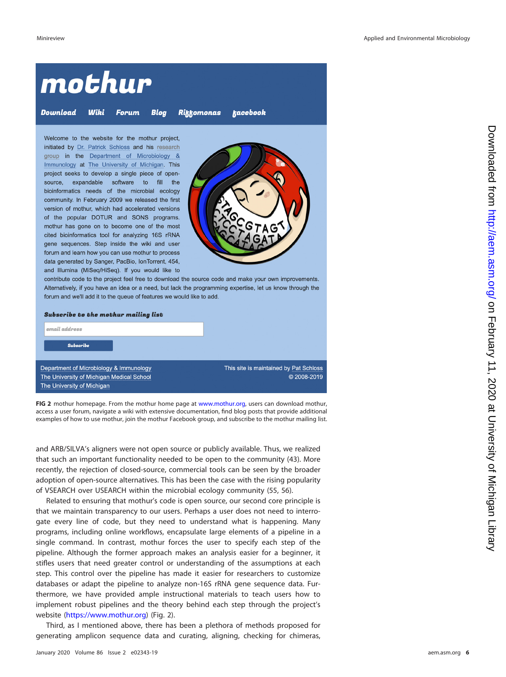

community. In February 2009 we released the first version of mothur, which had accelerated versions of the popular DOTUR and SONS programs. mothur has gone on to become one of the most cited bioinformatics tool for analyzing 16S rRNA gene sequences. Step inside the wiki and user forum and learn how you can use mothur to process data generated by Sanger, PacBio, IonTorrent, 454, and Illumina (MiSeq/HiSeq). If you would like to



contribute code to the project feel free to download the source code and make your own improvements. Alternatively, if you have an idea or a need, but lack the programming expertise, let us know through the forum and we'll add it to the queue of features we would like to add.

| Subscribe to the mothur mailing list      |                                        |
|-------------------------------------------|----------------------------------------|
| email address                             |                                        |
| <b>Subscribe</b>                          |                                        |
| Department of Microbiology & Immunology   | This site is maintained by Pat Schloss |
| The University of Michigan Medical School | C 2008-2019                            |
| The University of Michigan                |                                        |

<span id="page-5-0"></span>**FIG 2** mothur homepage. From the mothur home page at [www.mothur.org,](http://www.mothur.org) users can download mothur, access a user forum, navigate a wiki with extensive documentation, find blog posts that provide additional examples of how to use mothur, join the mothur Facebook group, and subscribe to the mothur mailing list.

and ARB/SILVA's aligners were not open source or publicly available. Thus, we realized that such an important functionality needed to be open to the community [\(43\)](#page-11-24). More recently, the rejection of closed-source, commercial tools can be seen by the broader adoption of open-source alternatives. This has been the case with the rising popularity of VSEARCH over USEARCH within the microbial ecology community [\(55,](#page-11-36) [56\)](#page-11-37).

Related to ensuring that mothur's code is open source, our second core principle is that we maintain transparency to our users. Perhaps a user does not need to interrogate every line of code, but they need to understand what is happening. Many programs, including online workflows, encapsulate large elements of a pipeline in a single command. In contrast, mothur forces the user to specify each step of the pipeline. Although the former approach makes an analysis easier for a beginner, it stifles users that need greater control or understanding of the assumptions at each step. This control over the pipeline has made it easier for researchers to customize databases or adapt the pipeline to analyze non-16S rRNA gene sequence data. Furthermore, we have provided ample instructional materials to teach users how to implement robust pipelines and the theory behind each step through the project's website [\(https://www.mothur.org\)](https://www.mothur.org) [\(Fig. 2\)](#page-5-0).

Third, as I mentioned above, there has been a plethora of methods proposed for generating amplicon sequence data and curating, aligning, checking for chimeras,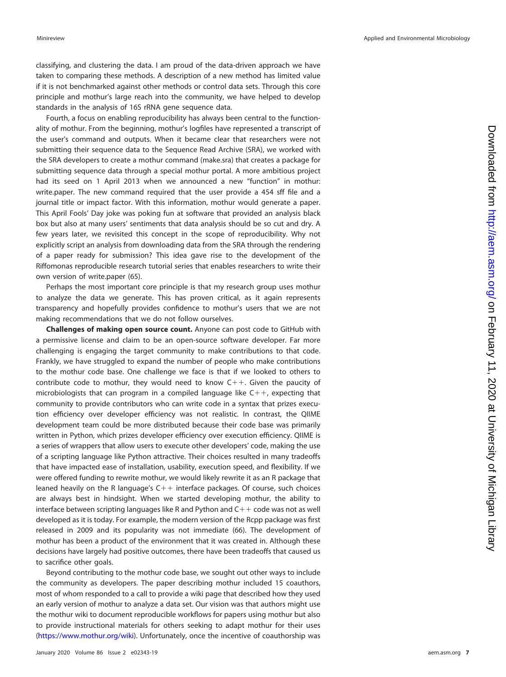classifying, and clustering the data. I am proud of the data-driven approach we have taken to comparing these methods. A description of a new method has limited value if it is not benchmarked against other methods or control data sets. Through this core principle and mothur's large reach into the community, we have helped to develop standards in the analysis of 16S rRNA gene sequence data.

Fourth, a focus on enabling reproducibility has always been central to the functionality of mothur. From the beginning, mothur's logfiles have represented a transcript of the user's command and outputs. When it became clear that researchers were not submitting their sequence data to the Sequence Read Archive (SRA), we worked with the SRA developers to create a mothur command (make.sra) that creates a package for submitting sequence data through a special mothur portal. A more ambitious project had its seed on 1 April 2013 when we announced a new "function" in mothur: write.paper. The new command required that the user provide a 454 sff file and a journal title or impact factor. With this information, mothur would generate a paper. This April Fools' Day joke was poking fun at software that provided an analysis black box but also at many users' sentiments that data analysis should be so cut and dry. A few years later, we revisited this concept in the scope of reproducibility. Why not explicitly script an analysis from downloading data from the SRA through the rendering of a paper ready for submission? This idea gave rise to the development of the Riffomonas reproducible research tutorial series that enables researchers to write their own version of write.paper [\(65\)](#page-12-8).

Perhaps the most important core principle is that my research group uses mothur to analyze the data we generate. This has proven critical, as it again represents transparency and hopefully provides confidence to mothur's users that we are not making recommendations that we do not follow ourselves.

**Challenges of making open source count.** Anyone can post code to GitHub with a permissive license and claim to be an open-source software developer. Far more challenging is engaging the target community to make contributions to that code. Frankly, we have struggled to expand the number of people who make contributions to the mothur code base. One challenge we face is that if we looked to others to contribute code to mothur, they would need to know  $C++$ . Given the paucity of microbiologists that can program in a compiled language like  $C++$ , expecting that community to provide contributors who can write code in a syntax that prizes execution efficiency over developer efficiency was not realistic. In contrast, the QIIME development team could be more distributed because their code base was primarily written in Python, which prizes developer efficiency over execution efficiency. QIIME is a series of wrappers that allow users to execute other developers' code, making the use of a scripting language like Python attractive. Their choices resulted in many tradeoffs that have impacted ease of installation, usability, execution speed, and flexibility. If we were offered funding to rewrite mothur, we would likely rewrite it as an R package that leaned heavily on the R language's  $C_{++}$  interface packages. Of course, such choices are always best in hindsight. When we started developing mothur, the ability to interface between scripting languages like R and Python and  $\mathsf{C++}$  code was not as well developed as it is today. For example, the modern version of the Rcpp package was first released in 2009 and its popularity was not immediate [\(66\)](#page-12-9). The development of mothur has been a product of the environment that it was created in. Although these decisions have largely had positive outcomes, there have been tradeoffs that caused us to sacrifice other goals.

Beyond contributing to the mothur code base, we sought out other ways to include the community as developers. The paper describing mothur included 15 coauthors, most of whom responded to a call to provide a wiki page that described how they used an early version of mothur to analyze a data set. Our vision was that authors might use the mothur wiki to document reproducible workflows for papers using mothur but also to provide instructional materials for others seeking to adapt mothur for their uses [\(https://www.mothur.org/wiki\)](https://www.mothur.org/wiki). Unfortunately, once the incentive of coauthorship was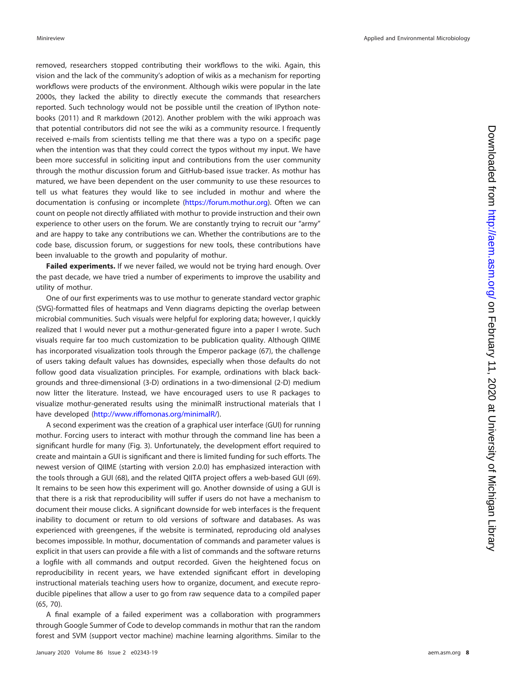removed, researchers stopped contributing their workflows to the wiki. Again, this vision and the lack of the community's adoption of wikis as a mechanism for reporting workflows were products of the environment. Although wikis were popular in the late 2000s, they lacked the ability to directly execute the commands that researchers reported. Such technology would not be possible until the creation of IPython notebooks (2011) and R markdown (2012). Another problem with the wiki approach was that potential contributors did not see the wiki as a community resource. I frequently received e-mails from scientists telling me that there was a typo on a specific page when the intention was that they could correct the typos without my input. We have been more successful in soliciting input and contributions from the user community through the mothur discussion forum and GitHub-based issue tracker. As mothur has matured, we have been dependent on the user community to use these resources to tell us what features they would like to see included in mothur and where the documentation is confusing or incomplete [\(https://forum.mothur.org\)](https://forum.mothur.org). Often we can count on people not directly affiliated with mothur to provide instruction and their own experience to other users on the forum. We are constantly trying to recruit our "army" and are happy to take any contributions we can. Whether the contributions are to the code base, discussion forum, or suggestions for new tools, these contributions have been invaluable to the growth and popularity of mothur.

**Failed experiments.** If we never failed, we would not be trying hard enough. Over the past decade, we have tried a number of experiments to improve the usability and utility of mothur.

One of our first experiments was to use mothur to generate standard vector graphic (SVG)-formatted files of heatmaps and Venn diagrams depicting the overlap between microbial communities. Such visuals were helpful for exploring data; however, I quickly realized that I would never put a mothur-generated figure into a paper I wrote. Such visuals require far too much customization to be publication quality. Although QIIME has incorporated visualization tools through the Emperor package [\(67\)](#page-12-10), the challenge of users taking default values has downsides, especially when those defaults do not follow good data visualization principles. For example, ordinations with black backgrounds and three-dimensional (3-D) ordinations in a two-dimensional (2-D) medium now litter the literature. Instead, we have encouraged users to use R packages to visualize mothur-generated results using the minimalR instructional materials that I have developed [\(http://www.riffomonas.org/minimalR/\)](http://www.riffomonas.org/minimalR/).

A second experiment was the creation of a graphical user interface (GUI) for running mothur. Forcing users to interact with mothur through the command line has been a significant hurdle for many [\(Fig. 3\)](#page-8-0). Unfortunately, the development effort required to create and maintain a GUI is significant and there is limited funding for such efforts. The newest version of QIIME (starting with version 2.0.0) has emphasized interaction with the tools through a GUI [\(68\)](#page-12-11), and the related QIITA project offers a web-based GUI [\(69\)](#page-12-12). It remains to be seen how this experiment will go. Another downside of using a GUI is that there is a risk that reproducibility will suffer if users do not have a mechanism to document their mouse clicks. A significant downside for web interfaces is the frequent inability to document or return to old versions of software and databases. As was experienced with greengenes, if the website is terminated, reproducing old analyses becomes impossible. In mothur, documentation of commands and parameter values is explicit in that users can provide a file with a list of commands and the software returns a logfile with all commands and output recorded. Given the heightened focus on reproducibility in recent years, we have extended significant effort in developing instructional materials teaching users how to organize, document, and execute reproducible pipelines that allow a user to go from raw sequence data to a compiled paper [\(65,](#page-12-8) [70\)](#page-12-13).

A final example of a failed experiment was a collaboration with programmers through Google Summer of Code to develop commands in mothur that ran the random forest and SVM (support vector machine) machine learning algorithms. Similar to the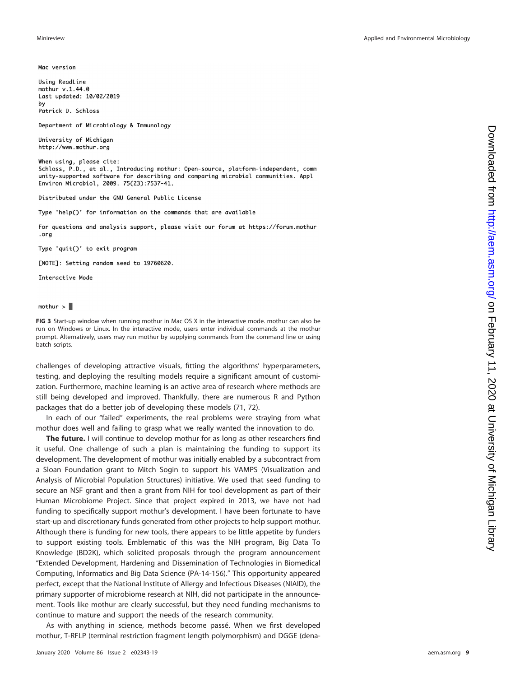Mac version

Using ReadLine mothur  $v.1.44.0$ Last updated: 10/02/2019 b<sub>y</sub> Patrick D. Schloss

Department of Microbiology & Immunology

University of Michigan http://www.mothur.org

When using, please cite: Schloss, P.D., et al., Introducing mothur: Open-source, platform-independent, comm unity-supported software for describing and comparing microbial communities. Appl Environ Microbiol, 2009. 75(23):7537-41.

Distributed under the GNU General Public License

Type 'help()' for information on the commands that are available

For questions and analysis support, please visit our forum at https://forum.mothur .org

Type 'quit()' to exit program

[NOTE]: Setting random seed to 19760620.

Interactive Mode

## $motion r >$

<span id="page-8-0"></span>**FIG 3** Start-up window when running mothur in Mac OS X in the interactive mode. mothur can also be run on Windows or Linux. In the interactive mode, users enter individual commands at the mothur prompt. Alternatively, users may run mothur by supplying commands from the command line or using batch scripts.

challenges of developing attractive visuals, fitting the algorithms' hyperparameters, testing, and deploying the resulting models require a significant amount of customization. Furthermore, machine learning is an active area of research where methods are still being developed and improved. Thankfully, there are numerous R and Python packages that do a better job of developing these models [\(71,](#page-12-14) [72\)](#page-12-15).

In each of our "failed" experiments, the real problems were straying from what mothur does well and failing to grasp what we really wanted the innovation to do.

**The future.** I will continue to develop mothur for as long as other researchers find it useful. One challenge of such a plan is maintaining the funding to support its development. The development of mothur was initially enabled by a subcontract from a Sloan Foundation grant to Mitch Sogin to support his VAMPS (Visualization and Analysis of Microbial Population Structures) initiative. We used that seed funding to secure an NSF grant and then a grant from NIH for tool development as part of their Human Microbiome Project. Since that project expired in 2013, we have not had funding to specifically support mothur's development. I have been fortunate to have start-up and discretionary funds generated from other projects to help support mothur. Although there is funding for new tools, there appears to be little appetite by funders to support existing tools. Emblematic of this was the NIH program, Big Data To Knowledge (BD2K), which solicited proposals through the program announcement "Extended Development, Hardening and Dissemination of Technologies in Biomedical Computing, Informatics and Big Data Science (PA-14-156)." This opportunity appeared perfect, except that the National Institute of Allergy and Infectious Diseases (NIAID), the primary supporter of microbiome research at NIH, did not participate in the announcement. Tools like mothur are clearly successful, but they need funding mechanisms to continue to mature and support the needs of the research community.

As with anything in science, methods become passé. When we first developed mothur, T-RFLP (terminal restriction fragment length polymorphism) and DGGE (dena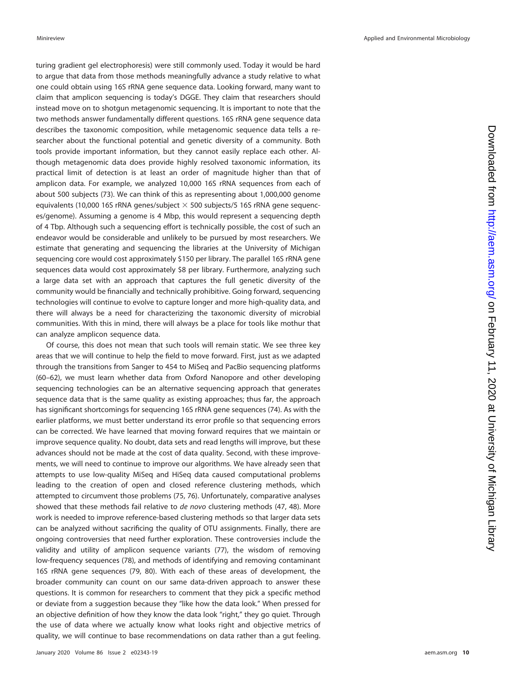turing gradient gel electrophoresis) were still commonly used. Today it would be hard to argue that data from those methods meaningfully advance a study relative to what one could obtain using 16S rRNA gene sequence data. Looking forward, many want to claim that amplicon sequencing is today's DGGE. They claim that researchers should instead move on to shotgun metagenomic sequencing. It is important to note that the two methods answer fundamentally different questions. 16S rRNA gene sequence data describes the taxonomic composition, while metagenomic sequence data tells a researcher about the functional potential and genetic diversity of a community. Both tools provide important information, but they cannot easily replace each other. Although metagenomic data does provide highly resolved taxonomic information, its practical limit of detection is at least an order of magnitude higher than that of amplicon data. For example, we analyzed 10,000 16S rRNA sequences from each of about 500 subjects [\(73\)](#page-12-16). We can think of this as representing about 1,000,000 genome equivalents (10,000 16S rRNA genes/subject  $\times$  500 subjects/5 16S rRNA gene sequences/genome). Assuming a genome is 4 Mbp, this would represent a sequencing depth of 4 Tbp. Although such a sequencing effort is technically possible, the cost of such an endeavor would be considerable and unlikely to be pursued by most researchers. We estimate that generating and sequencing the libraries at the University of Michigan sequencing core would cost approximately \$150 per library. The parallel 16S rRNA gene sequences data would cost approximately \$8 per library. Furthermore, analyzing such a large data set with an approach that captures the full genetic diversity of the community would be financially and technically prohibitive. Going forward, sequencing technologies will continue to evolve to capture longer and more high-quality data, and there will always be a need for characterizing the taxonomic diversity of microbial communities. With this in mind, there will always be a place for tools like mothur that can analyze amplicon sequence data.

Of course, this does not mean that such tools will remain static. We see three key areas that we will continue to help the field to move forward. First, just as we adapted through the transitions from Sanger to 454 to MiSeq and PacBio sequencing platforms [\(60](#page-12-3)[–](#page-12-4)[62\)](#page-12-5), we must learn whether data from Oxford Nanopore and other developing sequencing technologies can be an alternative sequencing approach that generates sequence data that is the same quality as existing approaches; thus far, the approach has significant shortcomings for sequencing 16S rRNA gene sequences [\(74\)](#page-12-17). As with the earlier platforms, we must better understand its error profile so that sequencing errors can be corrected. We have learned that moving forward requires that we maintain or improve sequence quality. No doubt, data sets and read lengths will improve, but these advances should not be made at the cost of data quality. Second, with these improvements, we will need to continue to improve our algorithms. We have already seen that attempts to use low-quality MiSeq and HiSeq data caused computational problems leading to the creation of open and closed reference clustering methods, which attempted to circumvent those problems [\(75,](#page-12-18) [76\)](#page-12-19). Unfortunately, comparative analyses showed that these methods fail relative to de novo clustering methods [\(47,](#page-11-28) [48\)](#page-11-29). More work is needed to improve reference-based clustering methods so that larger data sets can be analyzed without sacrificing the quality of OTU assignments. Finally, there are ongoing controversies that need further exploration. These controversies include the validity and utility of amplicon sequence variants [\(77\)](#page-12-20), the wisdom of removing low-frequency sequences [\(78\)](#page-12-21), and methods of identifying and removing contaminant 16S rRNA gene sequences [\(79,](#page-12-22) [80\)](#page-12-23). With each of these areas of development, the broader community can count on our same data-driven approach to answer these questions. It is common for researchers to comment that they pick a specific method or deviate from a suggestion because they "like how the data look." When pressed for an objective definition of how they know the data look "right," they go quiet. Through the use of data where we actually know what looks right and objective metrics of quality, we will continue to base recommendations on data rather than a gut feeling.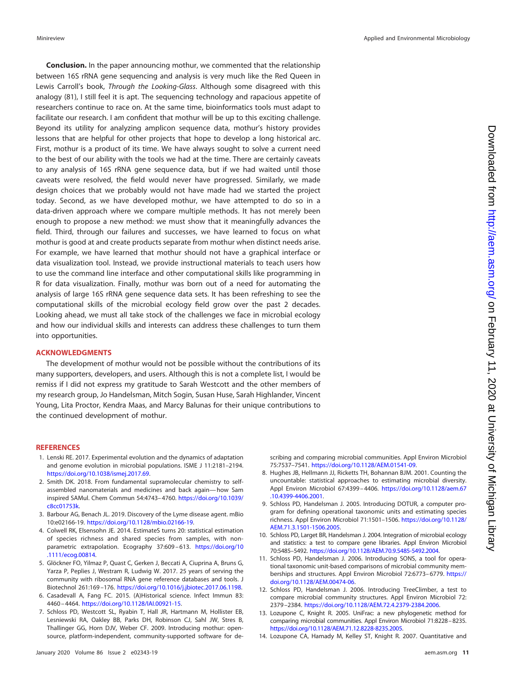**Conclusion.** In the paper announcing mothur, we commented that the relationship between 16S rRNA gene sequencing and analysis is very much like the Red Queen in Lewis Carroll's book, Through the Looking-Glass. Although some disagreed with this analogy [\(81\)](#page-12-24), I still feel it is apt. The sequencing technology and rapacious appetite of researchers continue to race on. At the same time, bioinformatics tools must adapt to facilitate our research. I am confident that mothur will be up to this exciting challenge. Beyond its utility for analyzing amplicon sequence data, mothur's history provides lessons that are helpful for other projects that hope to develop a long historical arc. First, mothur is a product of its time. We have always sought to solve a current need to the best of our ability with the tools we had at the time. There are certainly caveats to any analysis of 16S rRNA gene sequence data, but if we had waited until those caveats were resolved, the field would never have progressed. Similarly, we made design choices that we probably would not have made had we started the project today. Second, as we have developed mothur, we have attempted to do so in a data-driven approach where we compare multiple methods. It has not merely been enough to propose a new method: we must show that it meaningfully advances the field. Third, through our failures and successes, we have learned to focus on what mothur is good at and create products separate from mothur when distinct needs arise. For example, we have learned that mothur should not have a graphical interface or data visualization tool. Instead, we provide instructional materials to teach users how to use the command line interface and other computational skills like programming in R for data visualization. Finally, mothur was born out of a need for automating the analysis of large 16S rRNA gene sequence data sets. It has been refreshing to see the computational skills of the microbial ecology field grow over the past 2 decades. Looking ahead, we must all take stock of the challenges we face in microbial ecology and how our individual skills and interests can address these challenges to turn them into opportunities.

## **ACKNOWLEDGMENTS**

The development of mothur would not be possible without the contributions of its many supporters, developers, and users. Although this is not a complete list, I would be remiss if I did not express my gratitude to Sarah Westcott and the other members of my research group, Jo Handelsman, Mitch Sogin, Susan Huse, Sarah Highlander, Vincent Young, Lita Proctor, Kendra Maas, and Marcy Balunas for their unique contributions to the continued development of mothur.

## <span id="page-10-0"></span>**REFERENCES**

- 1. Lenski RE. 2017. Experimental evolution and the dynamics of adaptation and genome evolution in microbial populations. ISME J 11:2181–2194. [https://doi.org/10.1038/ismej.2017.69.](https://doi.org/10.1038/ismej.2017.69)
- 2. Smith DK. 2018. From fundamental supramolecular chemistry to selfassembled nanomaterials and medicines and back again— how Sam inspired SAMul. Chem Commun 54:4743– 4760. [https://doi.org/10.1039/](https://doi.org/10.1039/c8cc01753k) [c8cc01753k.](https://doi.org/10.1039/c8cc01753k)
- <span id="page-10-5"></span>3. Barbour AG, Benach JL. 2019. Discovery of the Lyme disease agent. mBio 10:e02166-19. [https://doi.org/10.1128/mbio.02166-19.](https://doi.org/10.1128/mbio.02166-19)
- 4. Colwell RK, Elsensohn JE. 2014. EstimateS turns 20: statistical estimation of species richness and shared species from samples, with nonparametric extrapolation. Ecography 37:609 – 613. [https://doi.org/10](https://doi.org/10.1111/ecog.00814) [.1111/ecog.00814.](https://doi.org/10.1111/ecog.00814)
- <span id="page-10-1"></span>5. Glöckner FO, Yilmaz P, Quast C, Gerken J, Beccati A, Ciuprina A, Bruns G, Yarza P, Peplies J, Westram R, Ludwig W. 2017. 25 years of serving the community with ribosomal RNA gene reference databases and tools. J Biotechnol 261:169 –176. [https://doi.org/10.1016/j.jbiotec.2017.06.1198.](https://doi.org/10.1016/j.jbiotec.2017.06.1198)
- <span id="page-10-3"></span><span id="page-10-2"></span>6. Casadevall A, Fang FC. 2015. (A)Historical science. Infect Immun 83: 4460 – 4464. [https://doi.org/10.1128/IAI.00921-15.](https://doi.org/10.1128/IAI.00921-15)
- 7. Schloss PD, Westcott SL, Ryabin T, Hall JR, Hartmann M, Hollister EB, Lesniewski RA, Oakley BB, Parks DH, Robinson CJ, Sahl JW, Stres B, Thallinger GG, Horn DJV, Weber CF. 2009. Introducing mothur: opensource, platform-independent, community-supported software for de-

<span id="page-10-4"></span>75:7537–7541. [https://doi.org/10.1128/AEM.01541-09.](https://doi.org/10.1128/AEM.01541-09) 8. Hughes JB, Hellmann JJ, Ricketts TH, Bohannan BJM. 2001. Counting the

scribing and comparing microbial communities. Appl Environ Microbiol

- <span id="page-10-6"></span>uncountable: statistical approaches to estimating microbial diversity. Appl Environ Microbiol 67:4399 – 4406. [https://doi.org/10.1128/aem.67](https://doi.org/10.1128/aem.67.10.4399-4406.2001) [.10.4399-4406.2001.](https://doi.org/10.1128/aem.67.10.4399-4406.2001) 9. Schloss PD, Handelsman J. 2005. Introducing DOTUR, a computer pro-
- gram for defining operational taxonomic units and estimating species richness. Appl Environ Microbiol 71:1501–1506. [https://doi.org/10.1128/](https://doi.org/10.1128/AEM.71.3.1501-1506.2005) [AEM.71.3.1501-1506.2005.](https://doi.org/10.1128/AEM.71.3.1501-1506.2005)
- <span id="page-10-8"></span><span id="page-10-7"></span>10. Schloss PD, Larget BR, Handelsman J. 2004. Integration of microbial ecology and statistics: a test to compare gene libraries. Appl Environ Microbiol 70:5485–5492. [https://doi.org/10.1128/AEM.70.9.5485-5492.2004.](https://doi.org/10.1128/AEM.70.9.5485-5492.2004)
- 11. Schloss PD, Handelsman J. 2006. Introducing SONS, a tool for operational taxonomic unit-based comparisons of microbial community memberships and structures. Appl Environ Microbiol 72:6773-6779. [https://](https://doi.org/10.1128/AEM.00474-06) [doi.org/10.1128/AEM.00474-06.](https://doi.org/10.1128/AEM.00474-06)
- <span id="page-10-10"></span><span id="page-10-9"></span>12. Schloss PD, Handelsman J. 2006. Introducing TreeClimber, a test to compare microbial community structures. Appl Environ Microbiol 72: 2379 –2384. [https://doi.org/10.1128/AEM.72.4.2379-2384.2006.](https://doi.org/10.1128/AEM.72.4.2379-2384.2006)
- <span id="page-10-11"></span>13. Lozupone C, Knight R. 2005. UniFrac: a new phylogenetic method for comparing microbial communities. Appl Environ Microbiol 71:8228 –8235. [https://doi.org/10.1128/AEM.71.12.8228-8235.2005.](https://doi.org/10.1128/AEM.71.12.8228-8235.2005)
- 14. Lozupone CA, Hamady M, Kelley ST, Knight R. 2007. Quantitative and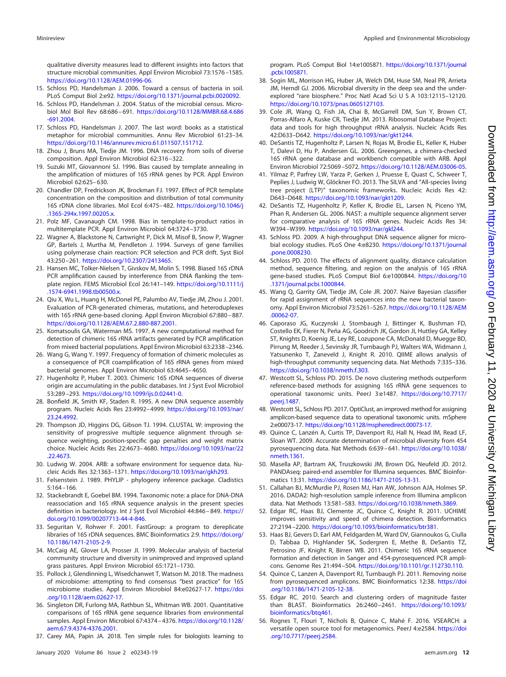qualitative diversity measures lead to different insights into factors that structure microbial communities. Appl Environ Microbiol 73:1576 –1585. [https://doi.org/10.1128/AEM.01996-06.](https://doi.org/10.1128/AEM.01996-06)

- <span id="page-11-1"></span><span id="page-11-0"></span>15. Schloss PD, Handelsman J. 2006. Toward a census of bacteria in soil. PLoS Comput Biol 2:e92. [https://doi.org/10.1371/journal.pcbi.0020092.](https://doi.org/10.1371/journal.pcbi.0020092)
- 16. Schloss PD, Handelsman J. 2004. Status of the microbial census. Microbiol Mol Biol Rev 68:686 – 691. [https://doi.org/10.1128/MMBR.68.4.686](https://doi.org/10.1128/MMBR.68.4.686-691.2004) [-691.2004.](https://doi.org/10.1128/MMBR.68.4.686-691.2004)
- <span id="page-11-2"></span>17. Schloss PD, Handelsman J. 2007. The last word: books as a statistical metaphor for microbial communities. Annu Rev Microbiol 61:23–34. [https://doi.org/10.1146/annurev.micro.61.011507.151712.](https://doi.org/10.1146/annurev.micro.61.011507.151712)
- <span id="page-11-3"></span>18. Zhou J, Bruns MA, Tiedje JM. 1996. DNA recovery from soils of diverse composition. Appl Environ Microbiol 62:316 –322.
- 19. Suzuki MT, Giovannoni SJ. 1996. Bias caused by template annealing in the amplification of mixtures of 16S rRNA genes by PCR. Appl Environ Microbiol 62:625– 630.
- 20. Chandler DP, Fredrickson JK, Brockman FJ. 1997. Effect of PCR template concentration on the composition and distribution of total community 16S rDNA clone libraries. Mol Ecol 6:475– 482. [https://doi.org/10.1046/j](https://doi.org/10.1046/j.1365-294x.1997.00205.x) [.1365-294x.1997.00205.x.](https://doi.org/10.1046/j.1365-294x.1997.00205.x)
- <span id="page-11-4"></span>21. Polz MF, Cavanaugh CM. 1998. Bias in template-to-product ratios in multitemplate PCR. Appl Environ Microbiol 64:3724 –3730.
- 22. Wagner A, Blackstone N, Cartwright P, Dick M, Misof B, Snow P, Wagner GP, Bartels J, Murtha M, Pendleton J. 1994. Surveys of gene families using polymerase chain reaction: PCR selection and PCR drift. Syst Biol 43:250 –261. [https://doi.org/10.2307/2413465.](https://doi.org/10.2307/2413465)
- <span id="page-11-5"></span>23. Hansen MC, Tolker-Nielsen T, Givskov M, Molin S. 1998. Biased 16S rDNA PCR amplification caused by interference from DNA flanking the template region. FEMS Microbiol Ecol 26:141-149. [https://doi.org/10.1111/j](https://doi.org/10.1111/j.1574-6941.1998.tb00500.x) [.1574-6941.1998.tb00500.x.](https://doi.org/10.1111/j.1574-6941.1998.tb00500.x)
- <span id="page-11-6"></span>24. Qiu X, Wu L, Huang H, McDonel PE, Palumbo AV, Tiedje JM, Zhou J. 2001. Evaluation of PCR-generated chimeras, mutations, and heteroduplexes with 16S rRNA gene-based cloning. Appl Environ Microbiol 67:880 – 887. [https://doi.org/10.1128/AEM.67.2.880-887.2001.](https://doi.org/10.1128/AEM.67.2.880-887.2001)
- 25. Komatsoulis GA, Waterman MS. 1997. A new computational method for detection of chimeric 16S rRNA artifacts generated by PCR amplification from mixed bacterial populations. Appl Environ Microbiol 63:2338 –2346.
- <span id="page-11-7"></span>26. Wang G, Wang Y. 1997. Frequency of formation of chimeric molecules as a consequence of PCR coamplification of 16S rRNA genes from mixed bacterial genomes. Appl Environ Microbiol 63:4645– 4650.
- <span id="page-11-8"></span>27. Hugenholtz P, Huber T. 2003. Chimeric 16S rDNA sequences of diverse origin are accumulating in the public databases. Int J Syst Evol Microbiol 53:289 –293. [https://doi.org/10.1099/ijs.0.02441-0.](https://doi.org/10.1099/ijs.0.02441-0)
- <span id="page-11-9"></span>28. Bonfield JK, Smith KF, Staden R. 1995. A new DNA sequence assembly program. Nucleic Acids Res 23:4992– 4999. [https://doi.org/10.1093/nar/](https://doi.org/10.1093/nar/23.24.4992) [23.24.4992.](https://doi.org/10.1093/nar/23.24.4992)
- <span id="page-11-10"></span>29. Thompson JD, Higgins DG, Gibson TJ. 1994. CLUSTAL W: improving the sensitivity of progressive multiple sequence alignment through sequence weighting, position-specific gap penalties and weight matrix choice. Nucleic Acids Res 22:4673– 4680. [https://doi.org/10.1093/nar/22](https://doi.org/10.1093/nar/22.22.4673) [.22.4673.](https://doi.org/10.1093/nar/22.22.4673)
- <span id="page-11-12"></span><span id="page-11-11"></span>30. Ludwig W. 2004. ARB: a software environment for sequence data. Nucleic Acids Res 32:1363–1371. [https://doi.org/10.1093/nar/gkh293.](https://doi.org/10.1093/nar/gkh293)
- <span id="page-11-13"></span>31. Felsenstein J. 1989. PHYLIP - phylogeny inference package. Cladistics 5:164 –166.
- 32. Stackebrandt E, Goebel BM. 1994. Taxonomic note: a place for DNA-DNA reassociation and 16S rRNA sequence analysis in the present species definition in bacteriology. Int J Syst Evol Microbiol 44:846 – 849. [https://](https://doi.org/10.1099/00207713-44-4-846) [doi.org/10.1099/00207713-44-4-846.](https://doi.org/10.1099/00207713-44-4-846)
- <span id="page-11-15"></span><span id="page-11-14"></span>33. Seguritan V, Rohwer F. 2001. FastGroup: a program to dereplicate libraries of 16S rDNA sequences. BMC Bioinformatics 2:9. [https://doi.org/](https://doi.org/10.1186/1471-2105-2-9) [10.1186/1471-2105-2-9.](https://doi.org/10.1186/1471-2105-2-9)
- <span id="page-11-16"></span>34. McCaig AE, Glover LA, Prosser JI. 1999. Molecular analysis of bacterial community structure and diversity in unimproved and improved upland grass pastures. Appl Environ Microbiol 65:1721–1730.
- 35. Pollock J, Glendinning L, Wisedchanwet T, Watson M. 2018. The madness of microbiome: attempting to find consensus "best practice" for 16S microbiome studies. Appl Environ Microbiol 84:e02627-17. [https://doi](https://doi.org/10.1128/aem.02627-17) [.org/10.1128/aem.02627-17.](https://doi.org/10.1128/aem.02627-17)
- <span id="page-11-17"></span>36. Singleton DR, Furlong MA, Rathbun SL, Whitman WB. 2001. Quantitative comparisons of 16S rRNA gene sequence libraries from environmental samples. Appl Environ Microbiol 67:4374 – 4376. [https://doi.org/10.1128/](https://doi.org/10.1128/aem.67.9.4374-4376.2001) [aem.67.9.4374-4376.2001.](https://doi.org/10.1128/aem.67.9.4374-4376.2001)
- <span id="page-11-18"></span>37. Carey MA, Papin JA. 2018. Ten simple rules for biologists learning to

program. PLoS Comput Biol 14:e1005871. [https://doi.org/10.1371/journal](https://doi.org/10.1371/journal.pcbi.1005871) [.pcbi.1005871.](https://doi.org/10.1371/journal.pcbi.1005871)

- <span id="page-11-19"></span>38. Sogin ML, Morrison HG, Huber JA, Welch DM, Huse SM, Neal PR, Arrieta JM, Herndl GJ. 2006. Microbial diversity in the deep sea and the underexplored "rare biosphere." Proc Natl Acad Sci U S A 103:12115-12120. [https://doi.org/10.1073/pnas.0605127103.](https://doi.org/10.1073/pnas.0605127103)
- <span id="page-11-20"></span>39. Cole JR, Wang Q, Fish JA, Chai B, McGarrell DM, Sun Y, Brown CT, Porras-Alfaro A, Kuske CR, Tiedje JM. 2013. Ribosomal Database Project: data and tools for high throughput rRNA analysis. Nucleic Acids Res 42:D633–D642. [https://doi.org/10.1093/nar/gkt1244.](https://doi.org/10.1093/nar/gkt1244)
- <span id="page-11-21"></span>40. DeSantis TZ, Hugenholtz P, Larsen N, Rojas M, Brodie EL, Keller K, Huber T, Dalevi D, Hu P, Andersen GL. 2006. Greengenes, a chimera-checked 16S rRNA gene database and workbench compatible with ARB. Appl Environ Microbiol 72:5069 –5072. [https://doi.org/10.1128/AEM.03006-05.](https://doi.org/10.1128/AEM.03006-05)
- <span id="page-11-22"></span>41. Yilmaz P, Parfrey LW, Yarza P, Gerken J, Pruesse E, Quast C, Schweer T, Peplies J, Ludwig W, Glöckner FO. 2013. The SILVA and "All-species living tree project (LTP)" taxonomic frameworks. Nucleic Acids Res 42: D643–D648. [https://doi.org/10.1093/nar/gkt1209.](https://doi.org/10.1093/nar/gkt1209)
- <span id="page-11-23"></span>42. DeSantis TZ, Hugenholtz P, Keller K, Brodie EL, Larsen N, Piceno YM, Phan R, Andersen GL. 2006. NAST: a multiple sequence alignment server for comparative analysis of 16S rRNA genes. Nucleic Acids Res 34: W394 –W399. [https://doi.org/10.1093/nar/gkl244.](https://doi.org/10.1093/nar/gkl244)
- <span id="page-11-24"></span>43. Schloss PD. 2009. A high-throughput DNA sequence aligner for microbial ecology studies. PLoS One 4:e8230. [https://doi.org/10.1371/journal](https://doi.org/10.1371/journal.pone.0008230) [.pone.0008230.](https://doi.org/10.1371/journal.pone.0008230)
- <span id="page-11-25"></span>44. Schloss PD. 2010. The effects of alignment quality, distance calculation method, sequence filtering, and region on the analysis of 16S rRNA gene-based studies. PLoS Comput Biol 6:e1000844. [https://doi.org/10](https://doi.org/10.1371/journal.pcbi.1000844) [.1371/journal.pcbi.1000844.](https://doi.org/10.1371/journal.pcbi.1000844)
- <span id="page-11-26"></span>45. Wang Q, Garrity GM, Tiedje JM, Cole JR. 2007. Naive Bayesian classifier for rapid assignment of rRNA sequences into the new bacterial taxonomy. Appl Environ Microbiol 73:5261–5267. [https://doi.org/10.1128/AEM](https://doi.org/10.1128/AEM.00062-07) [.00062-07.](https://doi.org/10.1128/AEM.00062-07)
- <span id="page-11-27"></span>46. Caporaso JG, Kuczynski J, Stombaugh J, Bittinger K, Bushman FD, Costello EK, Fierer N, Peña AG, Goodrich JK, Gordon JI, Huttley GA, Kelley ST, Knights D, Koenig JE, Ley RE, Lozupone CA, McDonald D, Muegge BD, Pirrung M, Reeder J, Sevinsky JR, Turnbaugh PJ, Walters WA, Widmann J, Yatsunenko T, Zaneveld J, Knight R. 2010. QIIME allows analysis of high-throughput community sequencing data. Nat Methods 7:335–336. [https://doi.org/10.1038/nmeth.f.303.](https://doi.org/10.1038/nmeth.f.303)
- <span id="page-11-28"></span>47. Westcott SL, Schloss PD. 2015. De novo clustering methods outperform reference-based methods for assigning 16S rRNA gene sequences to operational taxonomic units. PeerJ 3:e1487. [https://doi.org/10.7717/](https://doi.org/10.7717/peerj.1487) [peerj.1487.](https://doi.org/10.7717/peerj.1487)
- <span id="page-11-30"></span><span id="page-11-29"></span>48. Westcott SL, Schloss PD. 2017. OptiClust, an improved method for assigning amplicon-based sequence data to operational taxonomic units. mSphere 2:e00073-17. [https://doi.org/10.1128/mspheredirect.00073-17.](https://doi.org/10.1128/mspheredirect.00073-17)
- 49. Quince C, Lanzén A, Curtis TP, Davenport RJ, Hall N, Head IM, Read LF, Sloan WT. 2009. Accurate determination of microbial diversity from 454 pyrosequencing data. Nat Methods 6:639 – 641. [https://doi.org/10.1038/](https://doi.org/10.1038/nmeth.1361) [nmeth.1361.](https://doi.org/10.1038/nmeth.1361)
- <span id="page-11-32"></span><span id="page-11-31"></span>50. Masella AP, Bartram AK, Truszkowski JM, Brown DG, Neufeld JD. 2012. PANDAseq: paired-end assembler for Illumina sequences. BMC Bioinformatics 13:31. [https://doi.org/10.1186/1471-2105-13-31.](https://doi.org/10.1186/1471-2105-13-31)
- <span id="page-11-33"></span>51. Callahan BJ, McMurdie PJ, Rosen MJ, Han AW, Johnson AJA, Holmes SP. 2016. DADA2: high-resolution sample inference from Illumina amplicon data. Nat Methods 13:581–583. [https://doi.org/10.1038/nmeth.3869.](https://doi.org/10.1038/nmeth.3869)
- <span id="page-11-34"></span>52. Edgar RC, Haas BJ, Clemente JC, Quince C, Knight R. 2011. UCHIME improves sensitivity and speed of chimera detection. Bioinformatics 27:2194 –2200. [https://doi.org/10.1093/bioinformatics/btr381.](https://doi.org/10.1093/bioinformatics/btr381)
- 53. Haas BJ, Gevers D, Earl AM, Feldgarden M, Ward DV, Giannoukos G, Ciulla D, Tabbaa D, Highlander SK, Sodergren E, Methe B, DeSantis TZ, Petrosino JF, Knight R, Birren WB. 2011. Chimeric 16S rRNA sequence formation and detection in Sanger and 454-pyrosequenced PCR amplicons. Genome Res 21:494 –504. [https://doi.org/10.1101/gr.112730.110.](https://doi.org/10.1101/gr.112730.110)
- <span id="page-11-36"></span><span id="page-11-35"></span>54. Quince C, Lanzen A, Davenport RJ, Turnbaugh PJ. 2011. Removing noise from pyrosequenced amplicons. BMC Bioinformatics 12:38. [https://doi](https://doi.org/10.1186/1471-2105-12-38) [.org/10.1186/1471-2105-12-38.](https://doi.org/10.1186/1471-2105-12-38)
- <span id="page-11-37"></span>55. Edgar RC. 2010. Search and clustering orders of magnitude faster than BLAST. Bioinformatics 26:2460 –2461. [https://doi.org/10.1093/](https://doi.org/10.1093/bioinformatics/btq461) [bioinformatics/btq461.](https://doi.org/10.1093/bioinformatics/btq461)
- 56. Rognes T, Flouri T, Nichols B, Quince C, Mahé F. 2016. VSEARCH: a versatile open source tool for metagenomics. PeerJ 4:e2584. [https://doi](https://doi.org/10.7717/peerj.2584) [.org/10.7717/peerj.2584.](https://doi.org/10.7717/peerj.2584)